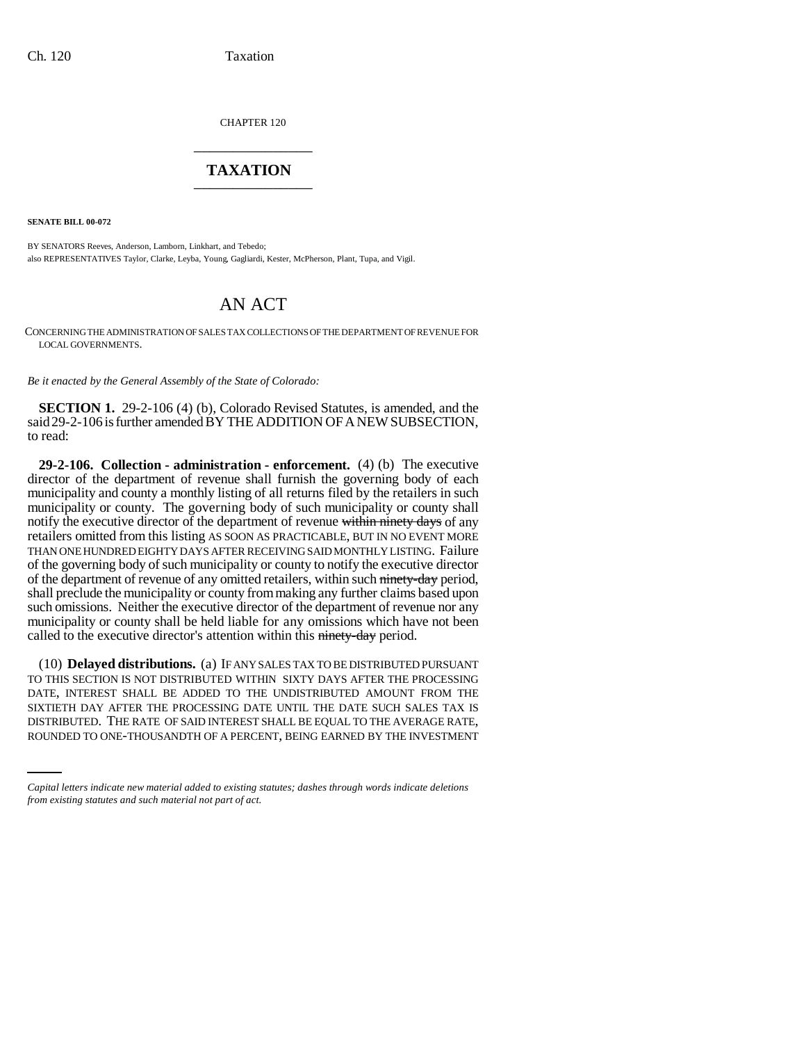CHAPTER 120 \_\_\_\_\_\_\_\_\_\_\_\_\_\_\_

## **TAXATION** \_\_\_\_\_\_\_\_\_\_\_\_\_\_\_

**SENATE BILL 00-072** 

BY SENATORS Reeves, Anderson, Lamborn, Linkhart, and Tebedo; also REPRESENTATIVES Taylor, Clarke, Leyba, Young, Gagliardi, Kester, McPherson, Plant, Tupa, and Vigil.

# AN ACT

CONCERNING THE ADMINISTRATION OF SALES TAX COLLECTIONS OF THE DEPARTMENT OF REVENUE FOR LOCAL GOVERNMENTS.

*Be it enacted by the General Assembly of the State of Colorado:*

**SECTION 1.** 29-2-106 (4) (b), Colorado Revised Statutes, is amended, and the said 29-2-106 is further amended BY THE ADDITION OF A NEW SUBSECTION, to read:

**29-2-106. Collection - administration - enforcement.** (4) (b) The executive director of the department of revenue shall furnish the governing body of each municipality and county a monthly listing of all returns filed by the retailers in such municipality or county. The governing body of such municipality or county shall notify the executive director of the department of revenue within ninety days of any retailers omitted from this listing AS SOON AS PRACTICABLE, BUT IN NO EVENT MORE THAN ONE HUNDRED EIGHTY DAYS AFTER RECEIVING SAID MONTHLY LISTING. Failure of the governing body of such municipality or county to notify the executive director of the department of revenue of any omitted retailers, within such ninety-day period, shall preclude the municipality or county from making any further claims based upon such omissions. Neither the executive director of the department of revenue nor any municipality or county shall be held liable for any omissions which have not been called to the executive director's attention within this ninety-day period.

SIXTIETH DAY AFTER THE PROCESSING DATE UNTIL THE DATE SUCH SALES TAX IS (10) **Delayed distributions.** (a) IF ANY SALES TAX TO BE DISTRIBUTED PURSUANT TO THIS SECTION IS NOT DISTRIBUTED WITHIN SIXTY DAYS AFTER THE PROCESSING DATE, INTEREST SHALL BE ADDED TO THE UNDISTRIBUTED AMOUNT FROM THE DISTRIBUTED. THE RATE OF SAID INTEREST SHALL BE EQUAL TO THE AVERAGE RATE, ROUNDED TO ONE-THOUSANDTH OF A PERCENT, BEING EARNED BY THE INVESTMENT

*Capital letters indicate new material added to existing statutes; dashes through words indicate deletions from existing statutes and such material not part of act.*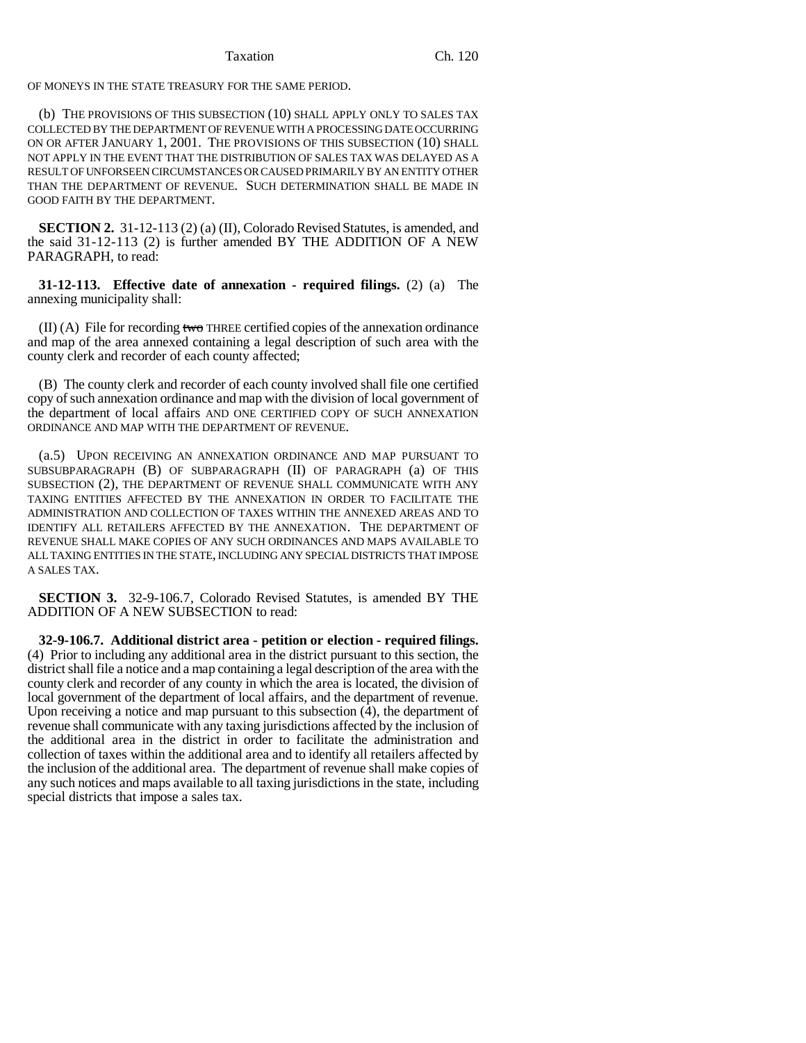### Taxation Ch. 120

OF MONEYS IN THE STATE TREASURY FOR THE SAME PERIOD.

(b) THE PROVISIONS OF THIS SUBSECTION (10) SHALL APPLY ONLY TO SALES TAX COLLECTED BY THE DEPARTMENT OF REVENUE WITH A PROCESSING DATE OCCURRING ON OR AFTER JANUARY 1, 2001. THE PROVISIONS OF THIS SUBSECTION (10) SHALL NOT APPLY IN THE EVENT THAT THE DISTRIBUTION OF SALES TAX WAS DELAYED AS A RESULT OF UNFORSEEN CIRCUMSTANCES OR CAUSED PRIMARILY BY AN ENTITY OTHER THAN THE DEPARTMENT OF REVENUE. SUCH DETERMINATION SHALL BE MADE IN GOOD FAITH BY THE DEPARTMENT.

**SECTION 2.** 31-12-113 (2) (a) (II), Colorado Revised Statutes, is amended, and the said 31-12-113 (2) is further amended BY THE ADDITION OF A NEW PARAGRAPH, to read:

**31-12-113. Effective date of annexation - required filings.** (2) (a) The annexing municipality shall:

 $(II)$  (A) File for recording two THREE certified copies of the annexation ordinance and map of the area annexed containing a legal description of such area with the county clerk and recorder of each county affected;

(B) The county clerk and recorder of each county involved shall file one certified copy of such annexation ordinance and map with the division of local government of the department of local affairs AND ONE CERTIFIED COPY OF SUCH ANNEXATION ORDINANCE AND MAP WITH THE DEPARTMENT OF REVENUE.

(a.5) UPON RECEIVING AN ANNEXATION ORDINANCE AND MAP PURSUANT TO SUBSUBPARAGRAPH (B) OF SUBPARAGRAPH (II) OF PARAGRAPH (a) OF THIS SUBSECTION (2), THE DEPARTMENT OF REVENUE SHALL COMMUNICATE WITH ANY TAXING ENTITIES AFFECTED BY THE ANNEXATION IN ORDER TO FACILITATE THE ADMINISTRATION AND COLLECTION OF TAXES WITHIN THE ANNEXED AREAS AND TO IDENTIFY ALL RETAILERS AFFECTED BY THE ANNEXATION. THE DEPARTMENT OF REVENUE SHALL MAKE COPIES OF ANY SUCH ORDINANCES AND MAPS AVAILABLE TO ALL TAXING ENTITIES IN THE STATE, INCLUDING ANY SPECIAL DISTRICTS THAT IMPOSE A SALES TAX.

**SECTION 3.** 32-9-106.7, Colorado Revised Statutes, is amended BY THE ADDITION OF A NEW SUBSECTION to read:

**32-9-106.7. Additional district area - petition or election - required filings.** (4) Prior to including any additional area in the district pursuant to this section, the district shall file a notice and a map containing a legal description of the area with the county clerk and recorder of any county in which the area is located, the division of local government of the department of local affairs, and the department of revenue. Upon receiving a notice and map pursuant to this subsection (4), the department of revenue shall communicate with any taxing jurisdictions affected by the inclusion of the additional area in the district in order to facilitate the administration and collection of taxes within the additional area and to identify all retailers affected by the inclusion of the additional area. The department of revenue shall make copies of any such notices and maps available to all taxing jurisdictions in the state, including special districts that impose a sales tax.